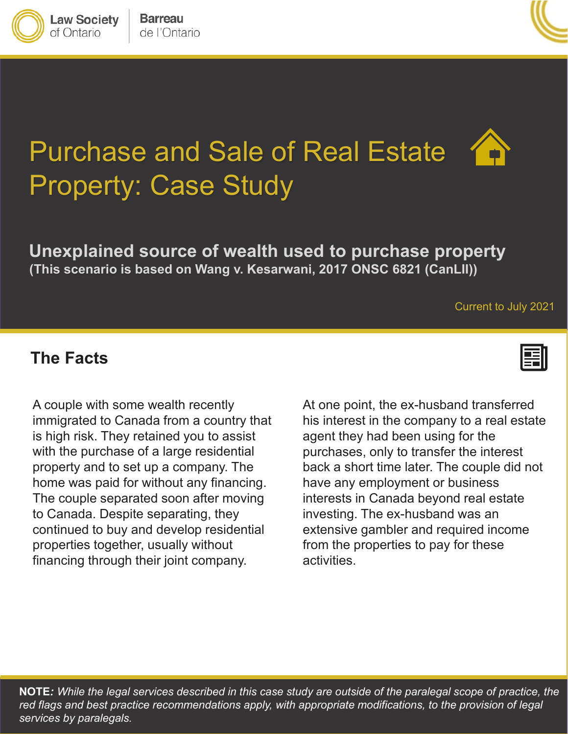

**Law Society** of Ontario



# Purchase and Sale of Real Estate Property: Case Study

### **Unexplained source of wealth used to purchase property (This scenario is based on Wang v. Kesarwani, 2017 ONSC 6821 (CanLII))**

#### Current to July 2021

#### **The Facts**



property and to set up a company. The back a short time later. The couple did no The couple separated soon after moving interests in Canada beyond real estate<br>The exil notation discreting the properties are seen to be a seem to be a seem to be a seem of the properties properties together, usually without from the prop A couple with some wealth recently immigrated to Canada from a country that is high risk. They retained you to assist with the purchase of a large residential to Canada. Despite separating, they financing through their joint company.

client about an easement discovered on title that would allow his neighbour home was paid for without any financing. concerned about the purchase of the purchase of the purchase of the purchase of the purchase of the property continued to buy and develop residential extensive gambler and required income At one point, the ex-husband transferred his interest in the company to a real estate agent they had been using for the purchases, only to transfer the interest back a short time later. The couple did not have any employment or business interests in Canada beyond real estate investing. The ex-husband was an extensive gambler and required income from the properties to pay for these activities.

**NOTE***: While the legal services described in this case study are outside of the paralegal scope of practice, the*  red flags and best practice recommendations apply, with appropriate modifications, to the provision of legal *services by paralegals.*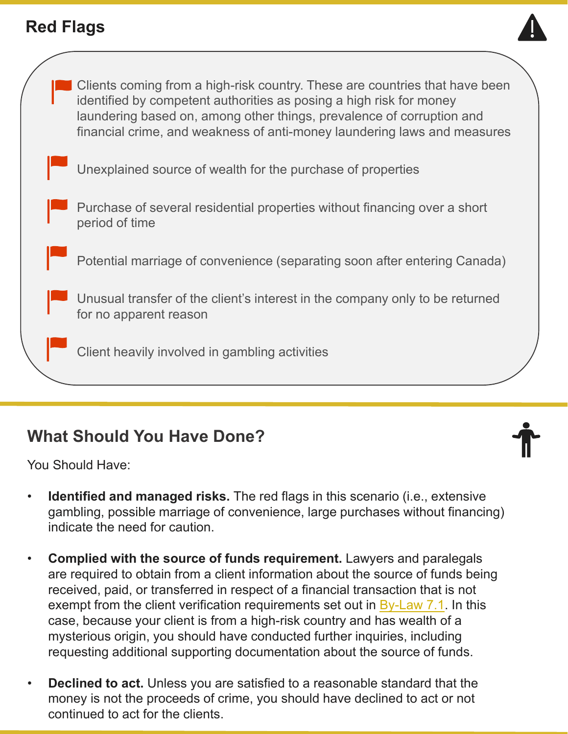# **Red Flags**





# **What Should You Have Done?**

You Should Have:

- **Identified and managed risks.** The red flags in this scenario (i.e., extensive gambling, possible marriage of convenience, large purchases without financing) indicate the need for caution.
- **Complied with the source of funds requirement.** Lawyers and paralegals are required to obtain from a client information about the source of funds being received, paid, or transferred in respect of a financial transaction that is not exempt from the client verification requirements set out in [By-Law 7.1](https://lso.ca/about-lso/legislation-rules/by-laws/by-law-7-1). In this case, because your client is from a high-risk country and has wealth of a mysterious origin, you should have conducted further inquiries, including requesting additional supporting documentation about the source of funds.
- **Declined to act.** Unless you are satisfied to a reasonable standard that the money is not the proceeds of crime, you should have declined to act or not continued to act for the clients.